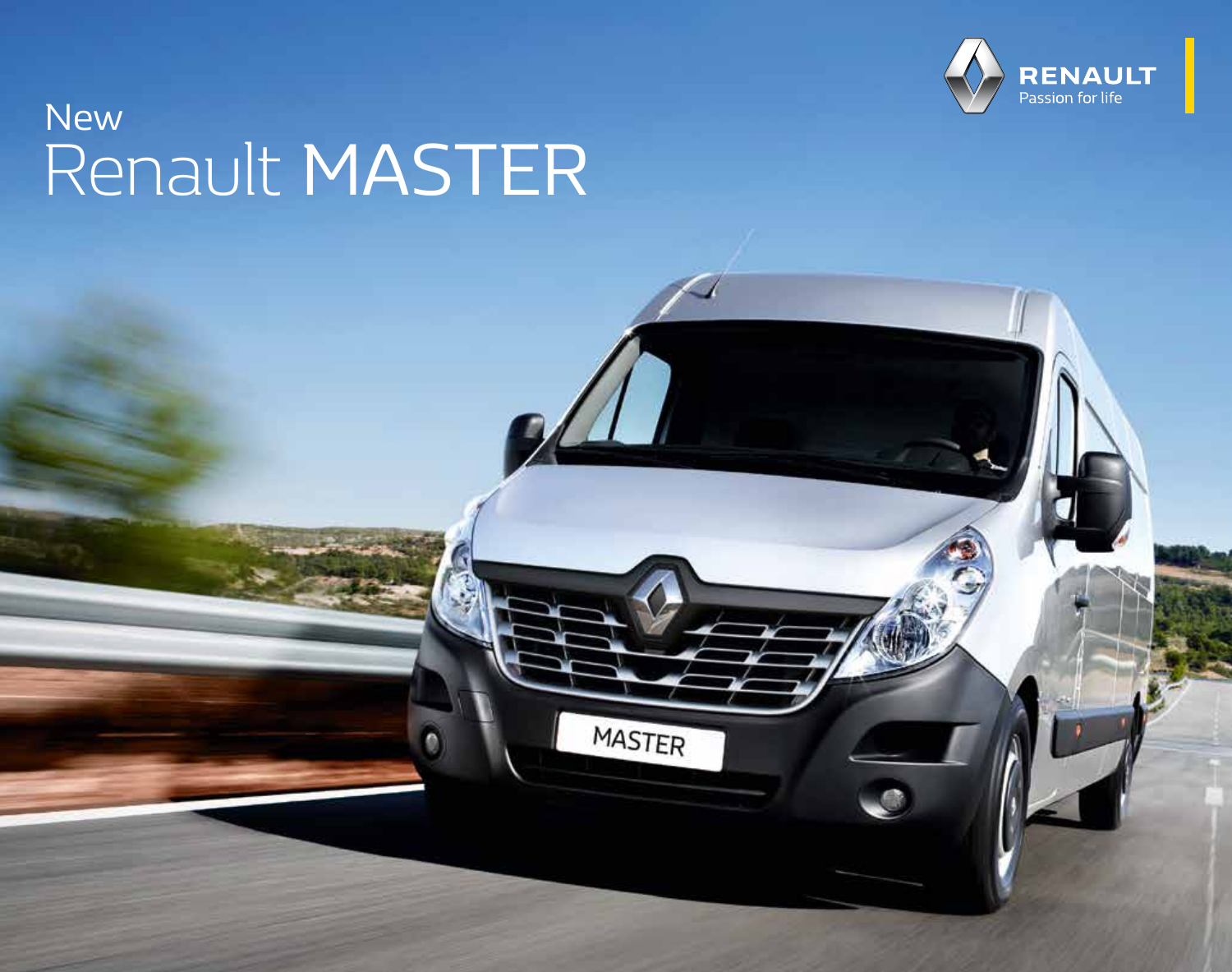

# Renault MASTER **New**

MASTER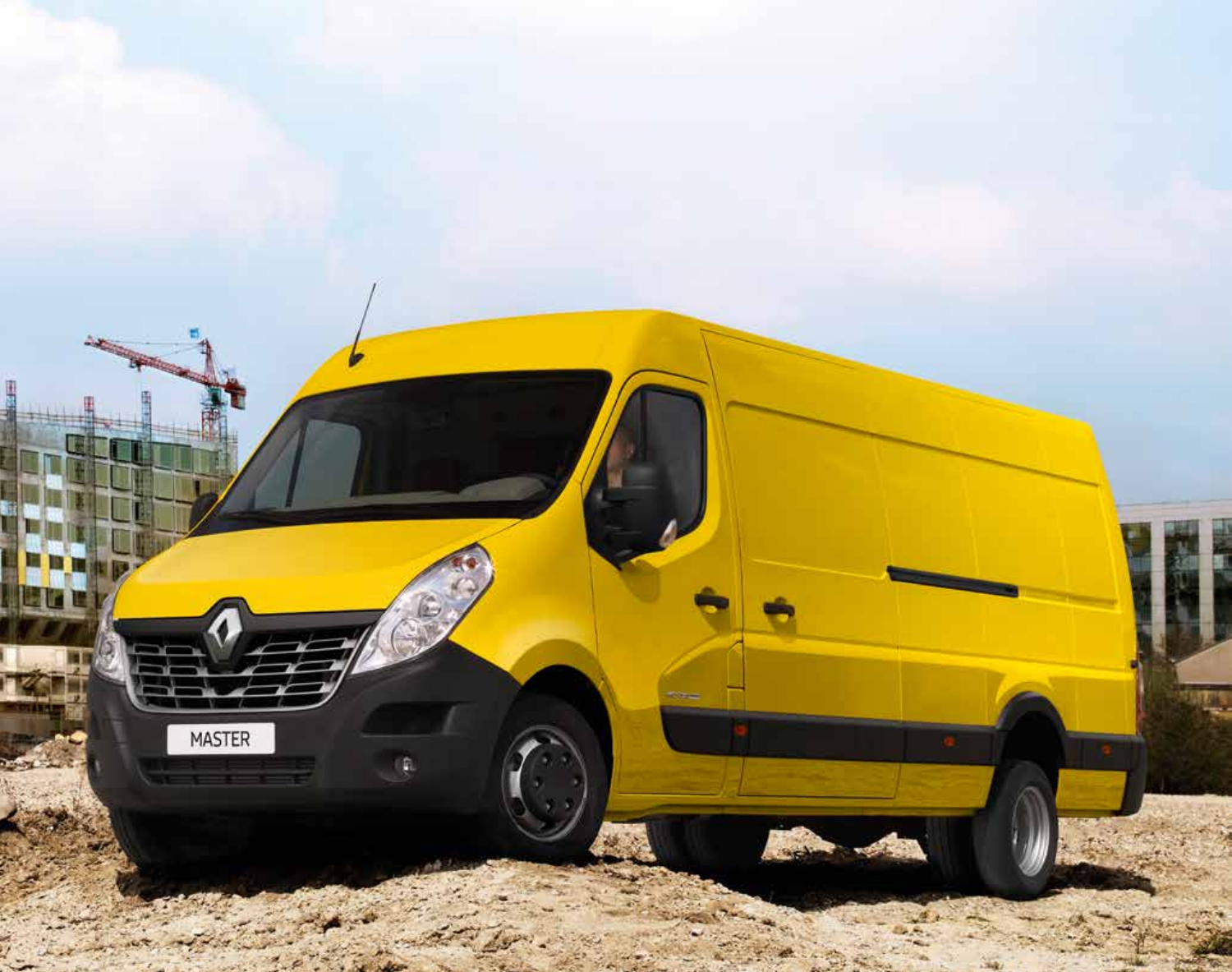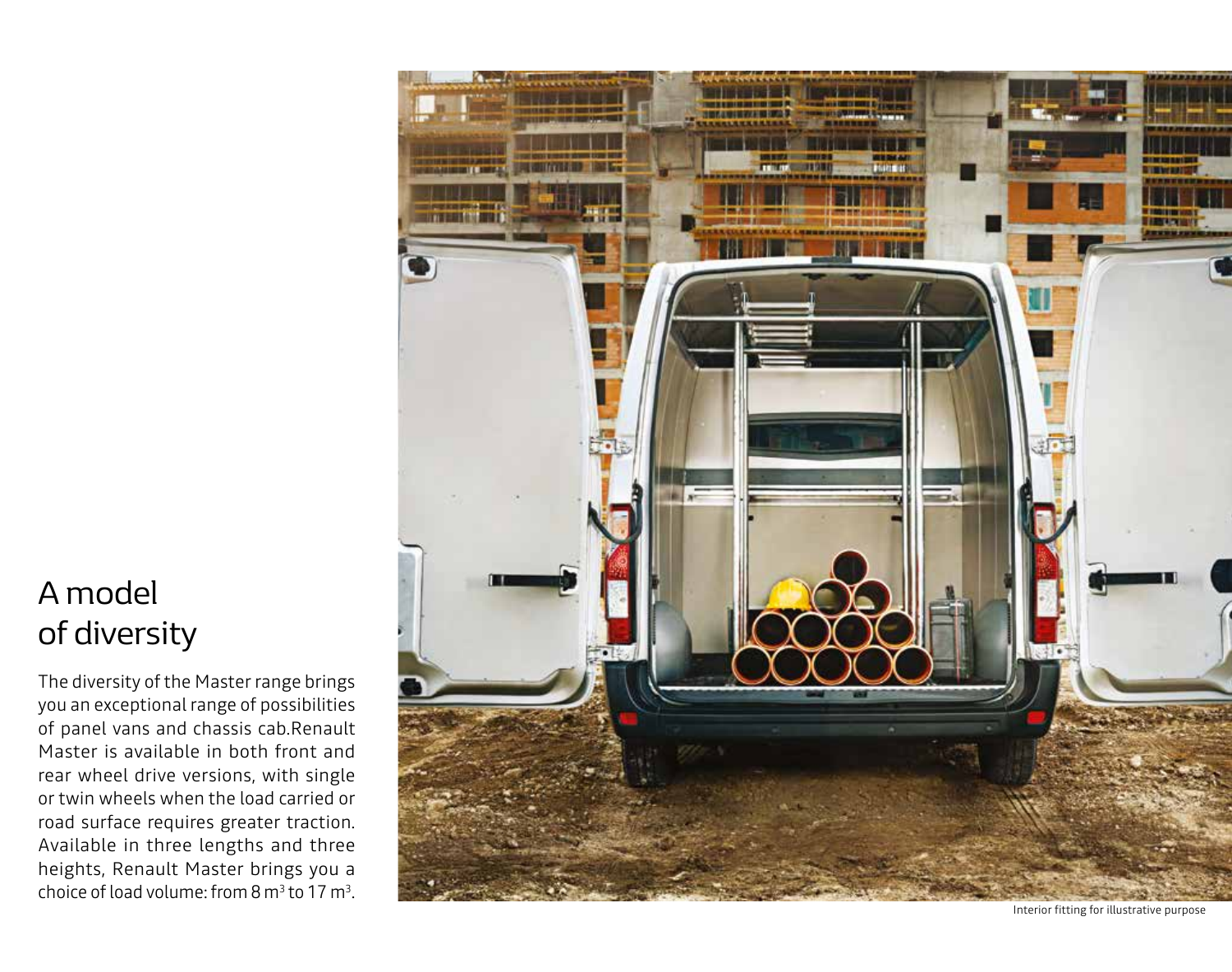## A model of diversity

The diversity of the Master range brings you an exceptional range of possibilities of panel vans and chassis cab.Renault Master is available in both front and rear wheel drive versions, with single or twin wheels when the load carried or road surface requires greater traction. Available in three lengths and three heights, Renault Master brings you a choice of load volume: from 8  $\mathrm{m}^3$  to 17  $\mathrm{m}^3$ .



Interior fitting for illustrative purpose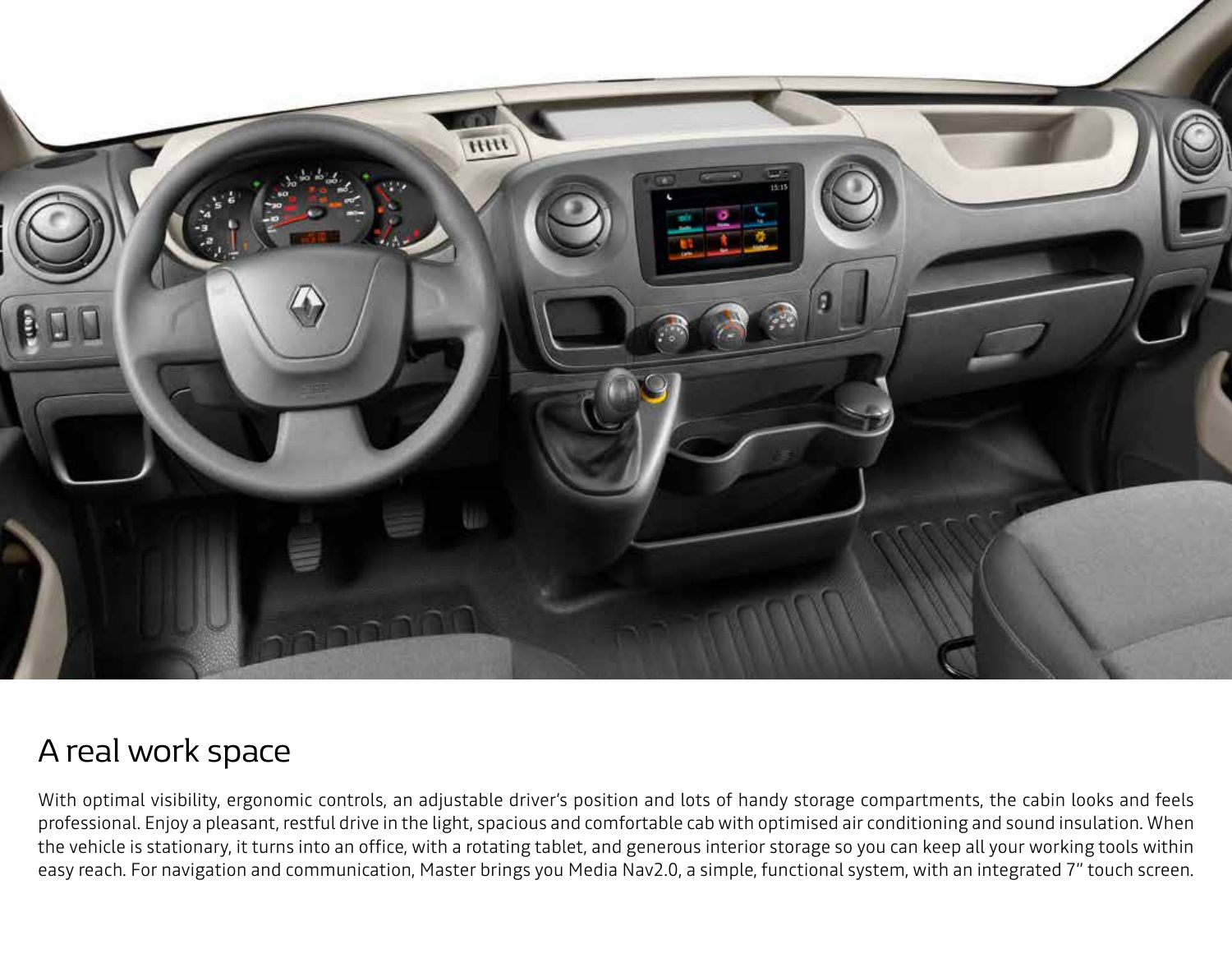

## A real work space

With optimal visibility, ergonomic controls, an adjustable driver's position and lots of handy storage compartments, the cabin looks and feels professional. Enjoy a pleasant, restful drive in the light, spacious and comfortable cab with optimised air conditioning and sound insulation. When the vehicle is stationary, it turns into an office, with a rotating tablet, and generous interior storage so you can keep all your working tools within easy reach. For navigation and communication, Master brings you Media Nav2.0, a simple, functional system, with an integrated 7" touch screen.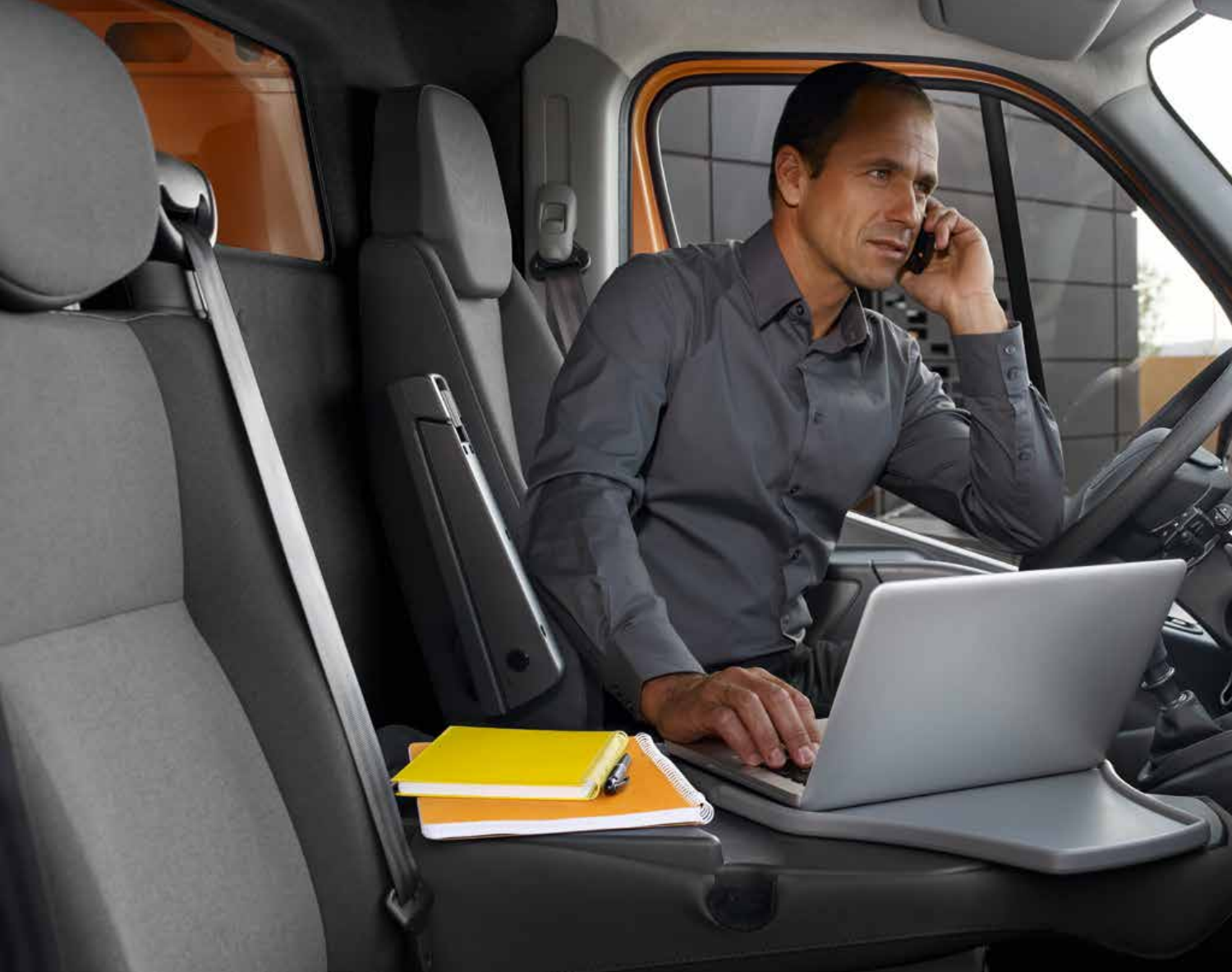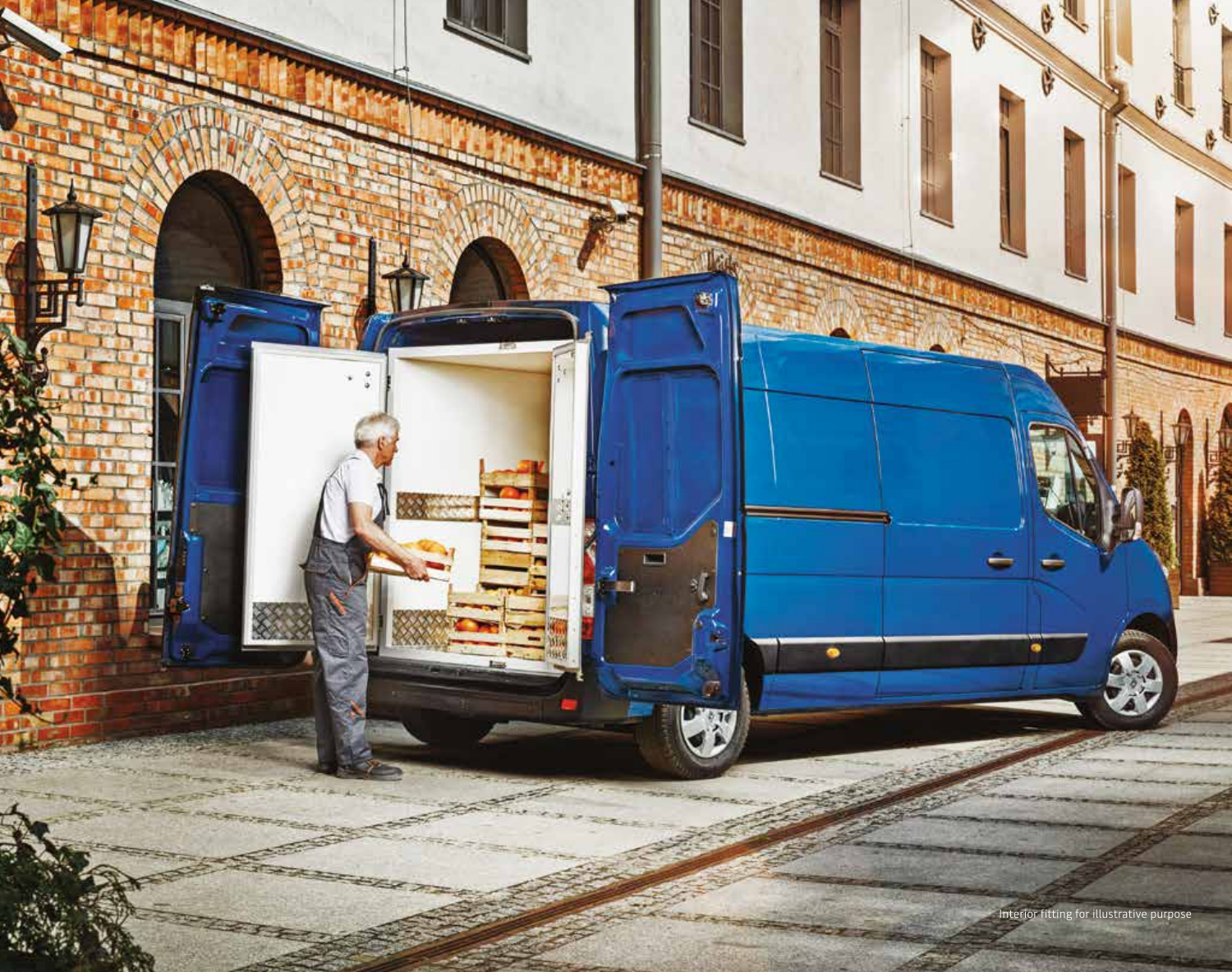Interior fitting for illustrative purpose

 $\bullet$ 

V

**BSI** 

П

馬

 $\bullet$ 

ō

Ě

V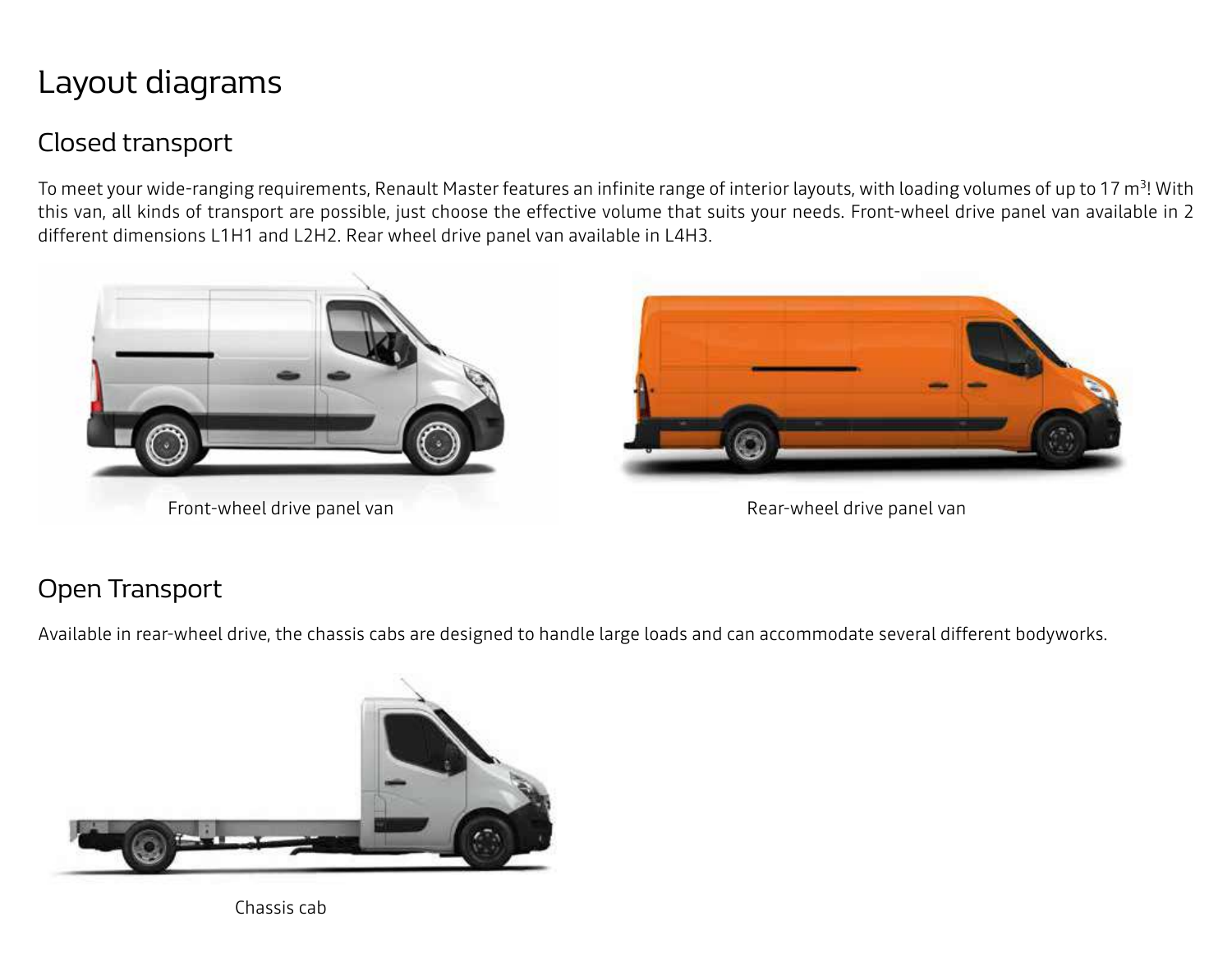## Layout diagrams

## Closed transport

To meet your wide-ranging requirements, Renault Master features an infinite range of interior layouts, with loading volumes of up to 17 m<sup>3</sup>! With this van, all kinds of transport are possible, just choose the effective volume that suits your needs. Front-wheel drive panel van available in 2 different dimensions L1H1 and L2H2. Rear wheel drive panel van available in L4H3.





Rear-wheel drive panel van

## Open Transport

Available in rear-wheel drive, the chassis cabs are designed to handle large loads and can accommodate several different bodyworks.



Chassis cab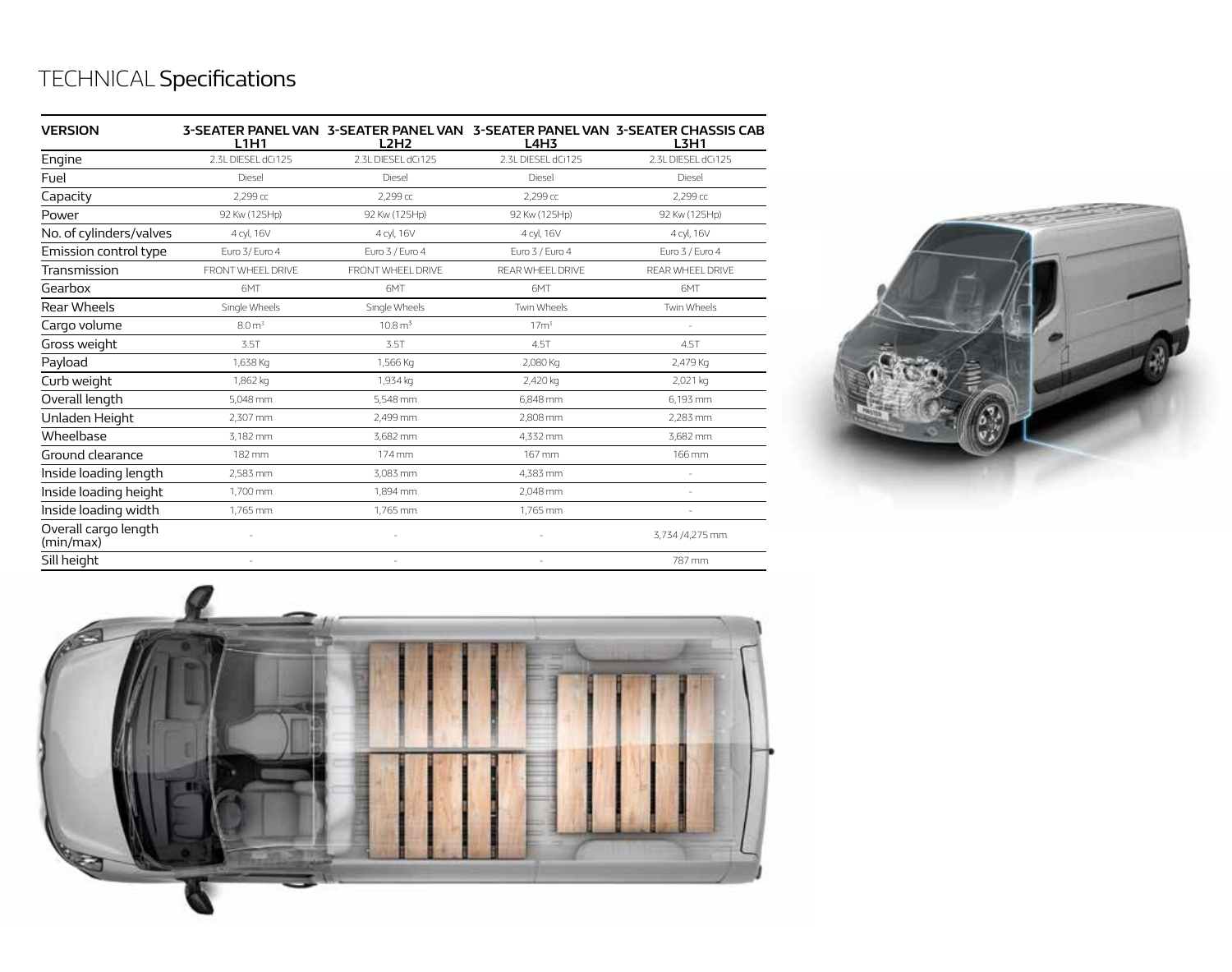## TECHNICAL Specifications

| <b>VERSION</b>                    | <b>L1H1</b>              | <b>L2H2</b>         | L4H3               | 3-SEATER PANEL VAN 3-SEATER PANEL VAN 3-SEATER PANEL VAN 3-SEATER CHASSIS CAB<br><b>L3H1</b> |
|-----------------------------------|--------------------------|---------------------|--------------------|----------------------------------------------------------------------------------------------|
| Engine                            | 2.3L DIESEL dCi125       | 2.3L DIESEL dCi125  | 2.3L DIESEL dCi125 | 2.3L DIESEL dCi125                                                                           |
| Fuel                              | Diesel                   | Diesel              | Diesel             | Diesel                                                                                       |
| Capacity                          | 2,299 cc                 | 2,299 сс            | 2,299 сс           | 2,299 cc                                                                                     |
| Power                             | 92 Kw (125Hp)            | 92 Kw (125Hp)       | 92 Kw (125Hp)      | 92 Kw (125Hp)                                                                                |
| No. of cylinders/valves           | 4 cyl, 16V               | 4 cyl, 16V          | 4 cyl, 16V         | 4 cyl, 16V                                                                                   |
| Emission control type             | Euro 3/ Euro 4           | Euro 3 / Euro 4     | Euro 3 / Euro 4    | Euro 3 / Euro 4                                                                              |
| Transmission                      | <b>FRONT WHEEL DRIVE</b> | FRONT WHEEL DRIVE   | REAR WHEEL DRIVE   | REAR WHEEL DRIVE                                                                             |
| Gearbox                           | 6MT                      | 6MT                 | 6MT                | 6MT                                                                                          |
| <b>Rear Wheels</b>                | Single Wheels            | Single Wheels       | Twin Wheels        | Twin Wheels                                                                                  |
| Cargo volume                      | $8.0\,\mathrm{m}^3$      | 10.8 m <sup>3</sup> | 17m <sup>3</sup>   |                                                                                              |
| Gross weight                      | 3.5T                     | 3.5T                | 4.5T               | 4.5T                                                                                         |
| Payload                           | 1,638 Kg                 | 1,566 Kg            | 2,080 Kg           | 2,479 Kg                                                                                     |
| Curb weight                       | 1,862 kg                 | 1,934 kg            | 2,420 kg           | 2,021 kg                                                                                     |
| Overall length                    | 5,048 mm                 | 5,548 mm            | 6,848 mm           | 6,193 mm                                                                                     |
| Unladen Height                    | 2,307 mm                 | 2,499 mm            | 2,808 mm           | 2.283 mm                                                                                     |
| Wheelbase                         | 3.182 mm                 | 3,682 mm            | 4,332 mm           | 3,682 mm                                                                                     |
| Ground clearance                  | 182 mm                   | 174 mm              | 167 mm             | 166 mm                                                                                       |
| Inside loading length             | 2.583 mm                 | 3.083 mm            | 4.383 mm           | ÷.                                                                                           |
| Inside loading height             | 1,700 mm                 | 1.894 mm            | 2,048 mm           |                                                                                              |
| Inside loading width              | 1,765 mm                 | 1,765 mm            | 1,765 mm           | $\overline{a}$                                                                               |
| Overall cargo length<br>(min/max) |                          |                     |                    | 3,734/4,275 mm                                                                               |
| Sill height                       |                          |                     |                    | 787 mm                                                                                       |



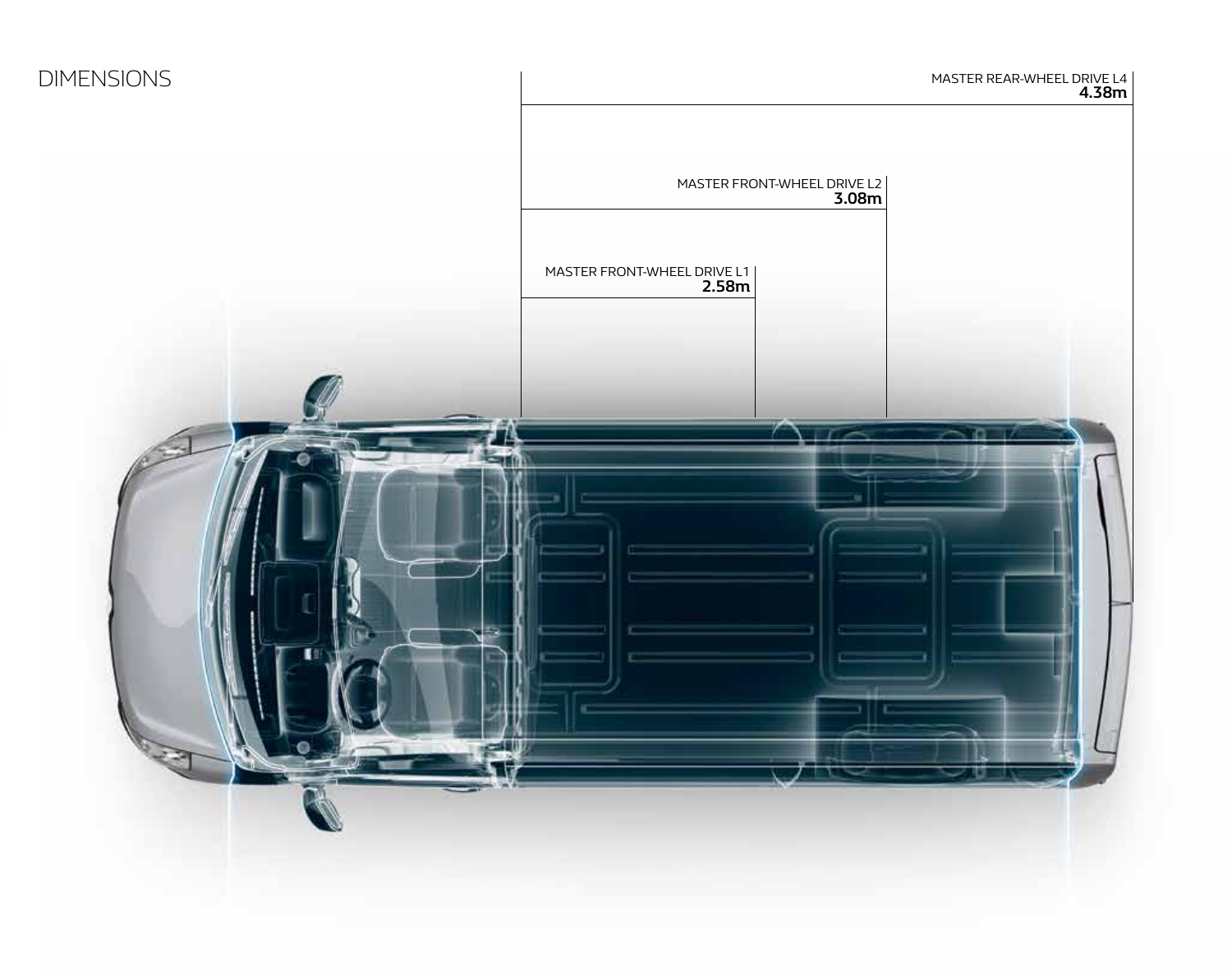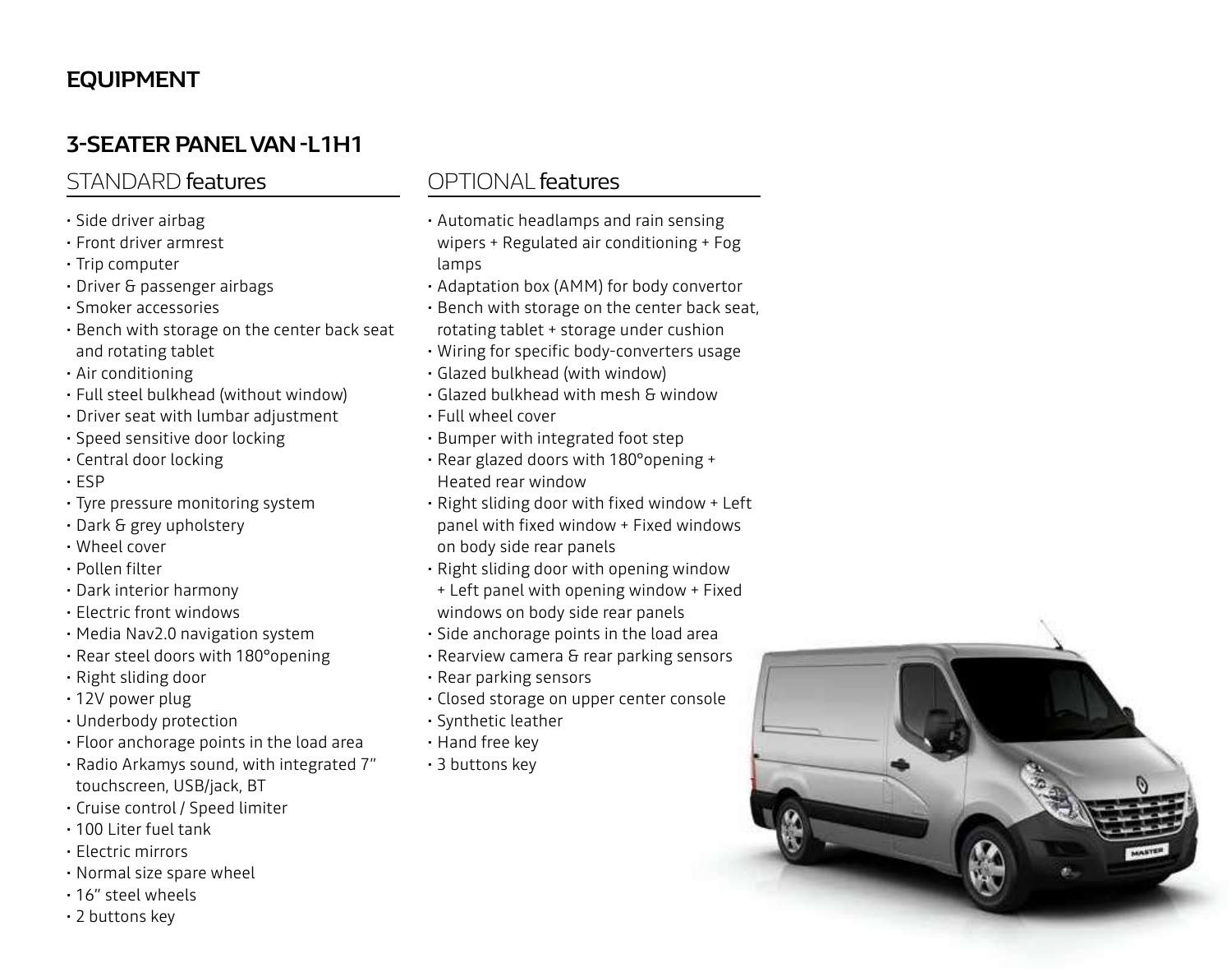#### **EQUIPMENT**

#### **3-SEATER PANEL VAN-L1H1**

#### STANDARD features **COPTIONAL features**

- Side driver airbag
- Front driver armrest
- Trip computer
- Driver & passenger airbags
- Smoker accessories
- Bench with storage on the center back seat and rotating tablet
- Air conditioning
- Full steel bulkhead (without window)
- Driver seat with lumbar adjustment
- Speed sensitive door locking
- Central door locking
- ESP
- Tyre pressure monitoring system
- Dark & grey upholstery
- Wheel cover
- Pollen filter
- Dark interior harmony
- Electric front windows
- Media Nav2.0 navigation system
- Rear steel doors with 180°opening
- Right sliding door
- 12V power plug
- Underbody protection
- Floor anchorage points in the load area
- Radio Arkamys sound, with integrated 7" touchscreen, USB/jack, BT
- Cruise control / Speed limiter
- 100 Liter fuel tank
- Electric mirrors
- Normal size spare wheel
- 16" steel wheels
- 2 buttons key

- Automatic headlamps and rain sensing wipers + Regulated air conditioning + Fog lamps
- Adaptation box (AMM) for body convertor
- Bench with storage on the center back seat, rotating tablet + storage under cushion
- Wiring for specific body-converters usage
- Glazed bulkhead (with window)
- Glazed bulkhead with mesh & window
- Full wheel cover
- Bumper with integrated foot step
- Rear glazed doors with 180°opening + Heated rear window
- Right sliding door with fixed window + Left panel with fixed window + Fixed windows on body side rear panels
- Right sliding door with opening window
- + Left panel with opening window + Fixed windows on body side rear panels
- Side anchorage points in the load area
- Rearview camera & rear parking sensors
- Rear parking sensors
- Closed storage on upper center console
- Synthetic leather
- Hand free key
- 3 buttons key

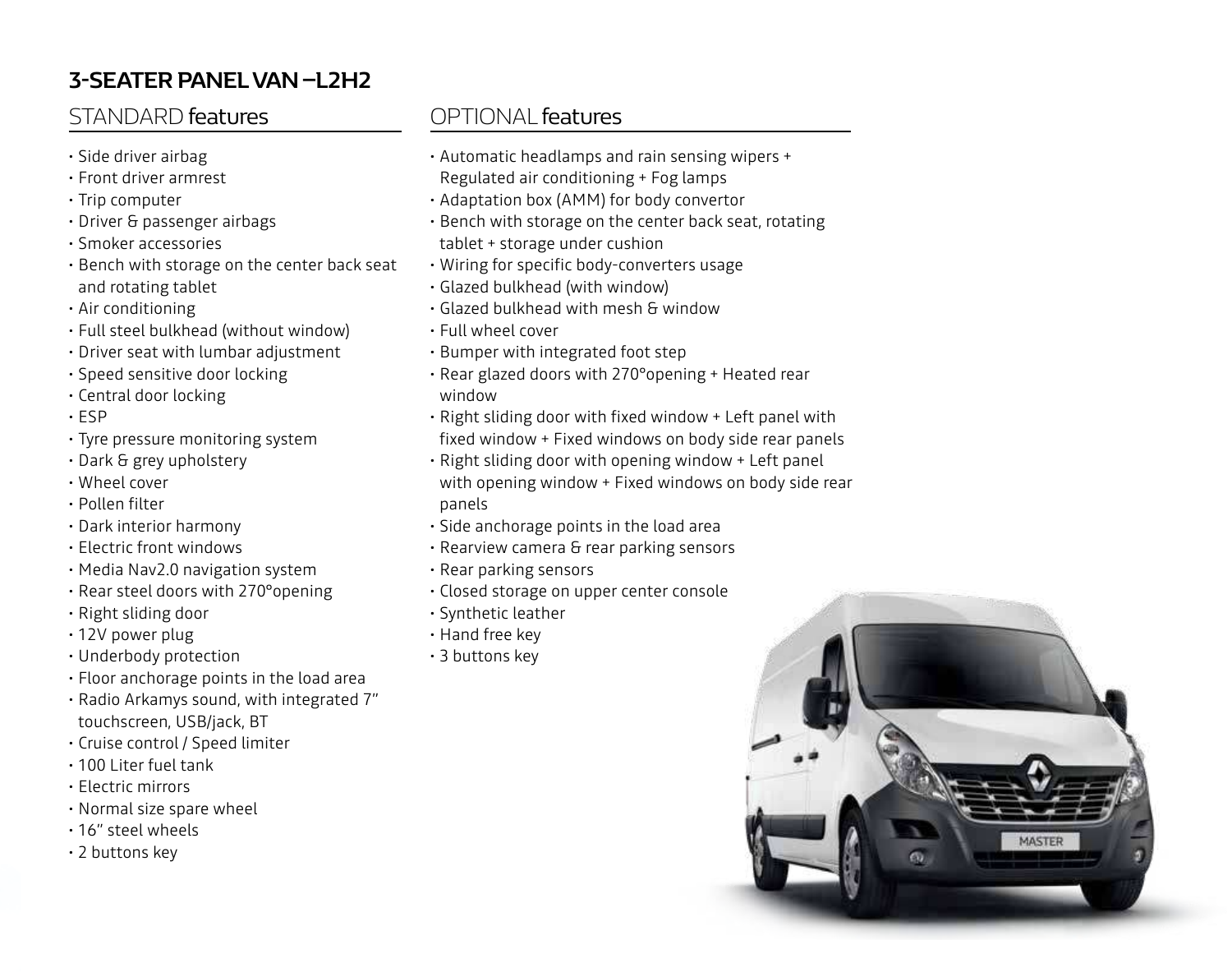### **3-SEATER PANEL VAN –L2H2**

#### STANDARD features OPTIONAL features

- Side driver airbag
- Front driver armrest
- Trip computer
- Driver & passenger airbags
- Smoker accessories
- Bench with storage on the center back seat and rotating tablet
- Air conditioning
- Full steel bulkhead (without window)
- Driver seat with lumbar adjustment
- Speed sensitive door locking
- Central door locking
- ESP
- Tyre pressure monitoring system
- Dark & grey upholstery
- Wheel cover
- Pollen filter
- Dark interior harmony
- Electric front windows
- Media Nav2.0 navigation system
- Rear steel doors with 270°opening
- Right sliding door
- 12V power plug
- Underbody protection
- Floor anchorage points in the load area
- Radio Arkamys sound, with integrated 7" touchscreen, USB/jack, BT
- Cruise control / Speed limiter
- 100 Liter fuel tank
- Electric mirrors
- Normal size spare wheel
- 16" steel wheels
- 2 buttons key

- Automatic headlamps and rain sensing wipers + Regulated air conditioning + Fog lamps
- Adaptation box (AMM) for body convertor
- Bench with storage on the center back seat, rotating tablet + storage under cushion
- Wiring for specific body-converters usage
- Glazed bulkhead (with window)
- Glazed bulkhead with mesh & window
- Full wheel cover
- Bumper with integrated foot step
- Rear glazed doors with 270°opening + Heated rear window
- Right sliding door with fixed window + Left panel with fixed window + Fixed windows on body side rear panels
- Right sliding door with opening window + Left panel with opening window + Fixed windows on body side rear panels
- Side anchorage points in the load area
- Rearview camera & rear parking sensors
- Rear parking sensors
- Closed storage on upper center console
- Synthetic leather
- Hand free key
- 3 buttons key

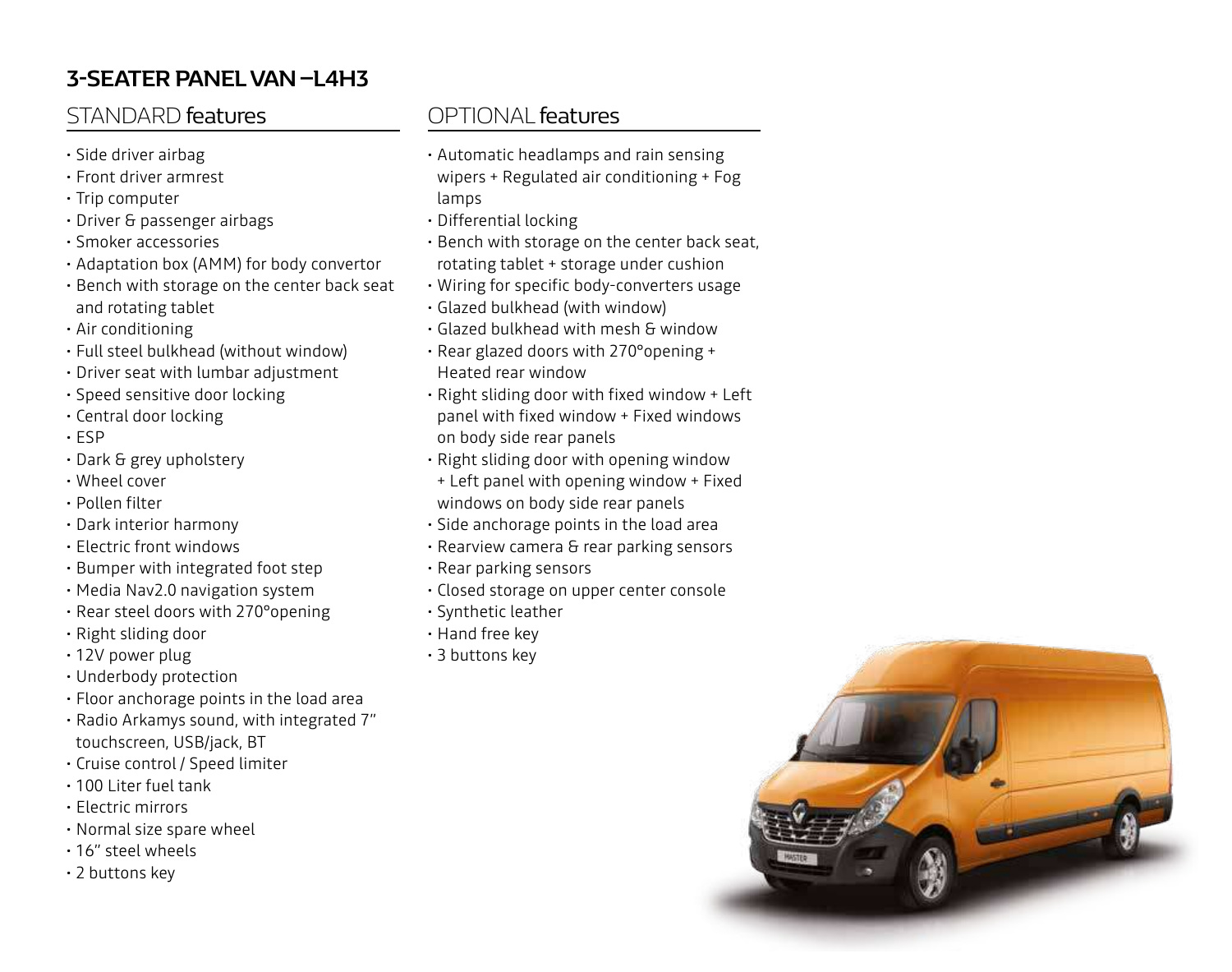### **3-SEATER PANEL VAN-L4H3**

### STANDARD features **COPTIONAL features**

- Side driver airbag
- Front driver armrest
- Trip computer
- Driver & passenger airbags
- Smoker accessories
- Adaptation box (AMM) for body convertor
- Bench with storage on the center back seat and rotating tablet
- Air conditioning
- Full steel bulkhead (without window)
- Driver seat with lumbar adjustment
- Speed sensitive door locking
- Central door locking
- ESP
- Dark & grey upholstery
- Wheel cover
- Pollen filter
- Dark interior harmony
- Electric front windows
- Bumper with integrated foot step
- Media Nav2.0 navigation system
- Rear steel doors with 270°opening
- Right sliding door
- 12V power plug
- Underbody protection
- Floor anchorage points in the load area
- Radio Arkamys sound, with integrated 7" touchscreen, USB/jack, BT
- Cruise control / Speed limiter
- 100 Liter fuel tank
- Electric mirrors
- Normal size spare wheel
- 16" steel wheels
- 2 buttons key

- Automatic headlamps and rain sensing wipers + Regulated air conditioning + Fog lamps
- Differential locking
- Bench with storage on the center back seat, rotating tablet + storage under cushion
- Wiring for specific body-converters usage
- Glazed bulkhead (with window)
- Glazed bulkhead with mesh & window
- Rear glazed doors with 270°opening + Heated rear window
- Right sliding door with fixed window + Left panel with fixed window + Fixed windows on body side rear panels
- Right sliding door with opening window
- + Left panel with opening window + Fixed windows on body side rear panels
- Side anchorage points in the load area
- Rearview camera & rear parking sensors
- Rear parking sensors
- Closed storage on upper center console
- Synthetic leather
- Hand free key
- 3 buttons key

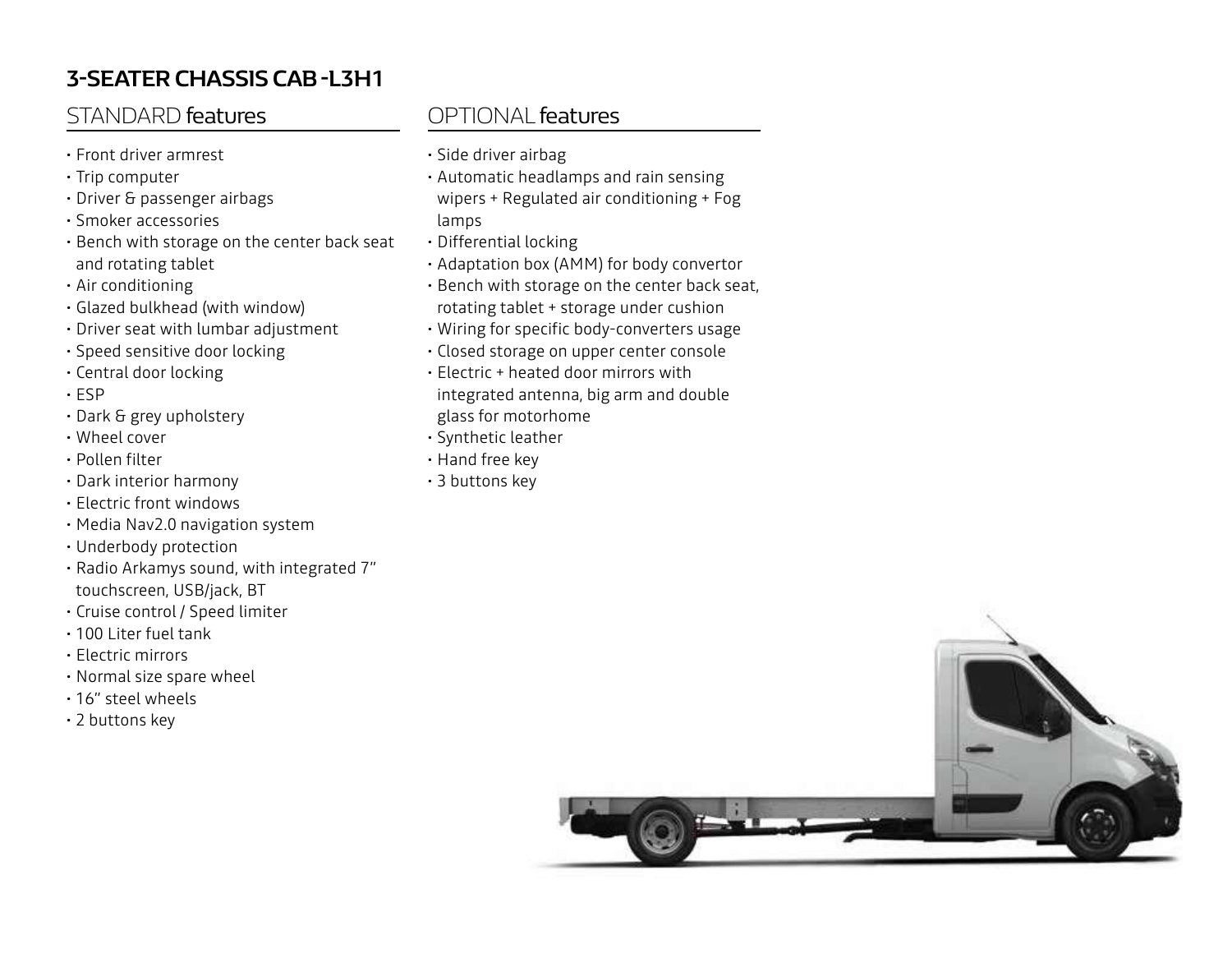### **3-SEATER CHASSIS CAB -L3H1**

#### STANDARD features **COPTIONAL features**

- Front driver armrest
- Trip computer
- Driver & passenger airbags
- Smoker accessories
- Bench with storage on the center back seat and rotating tablet
- Air conditioning
- Glazed bulkhead (with window)
- Driver seat with lumbar adjustment
- Speed sensitive door locking
- Central door locking
- ESP
- Dark & grey upholstery
- Wheel cover
- Pollen filter
- Dark interior harmony
- Electric front windows
- Media Nav2.0 navigation system
- Underbody protection
- Radio Arkamys sound, with integrated 7" touchscreen, USB/jack, BT
- Cruise control / Speed limiter
- 100 Liter fuel tank
- Electric mirrors
- Normal size spare wheel
- 16" steel wheels
- 2 buttons key

- Side driver airbag
- Automatic headlamps and rain sensing wipers + Regulated air conditioning + Fog lamps
- Differential locking
- Adaptation box (AMM) for body convertor
- Bench with storage on the center back seat, rotating tablet + storage under cushion
- Wiring for specific body-converters usage
- Closed storage on upper center console
- Electric + heated door mirrors with integrated antenna, big arm and double glass for motorhome
- Synthetic leather
- Hand free key
- 3 buttons key

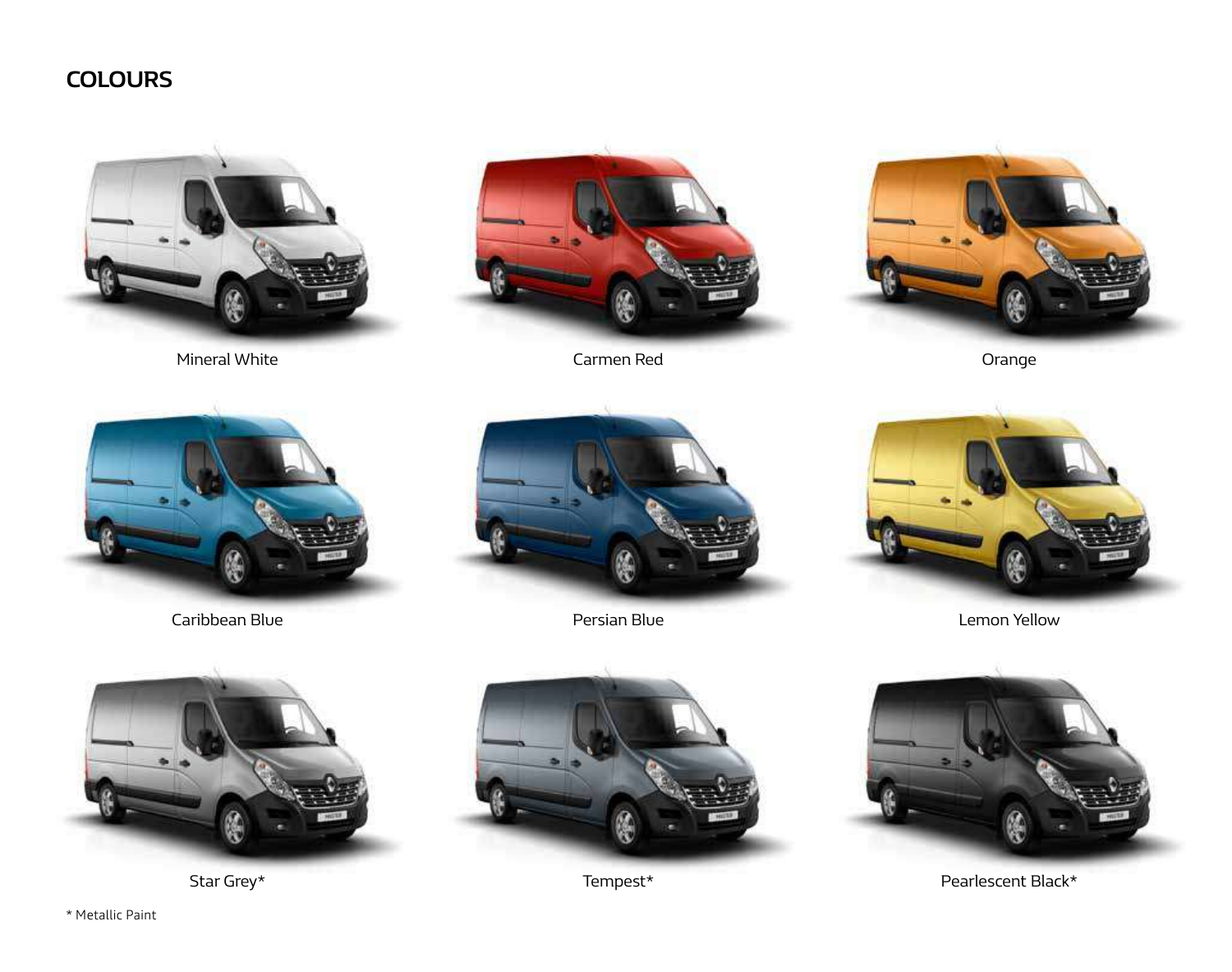### **COLOURS**



Mineral White



Carmen Red



Orange



Caribbean Blue



Persian Blue



Lemon Yellow



Star Grey\*



Tempest\*



Pearlescent Black\*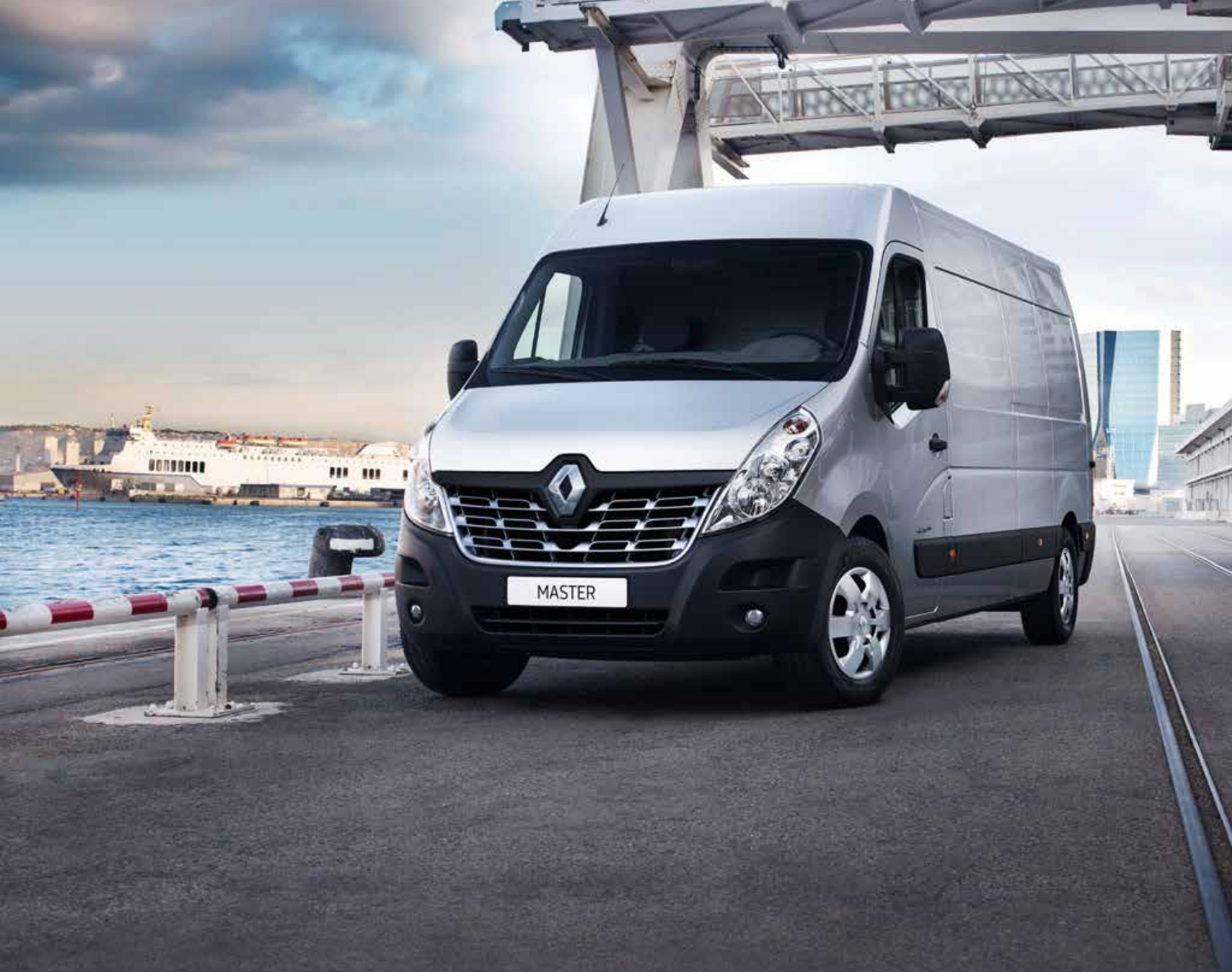